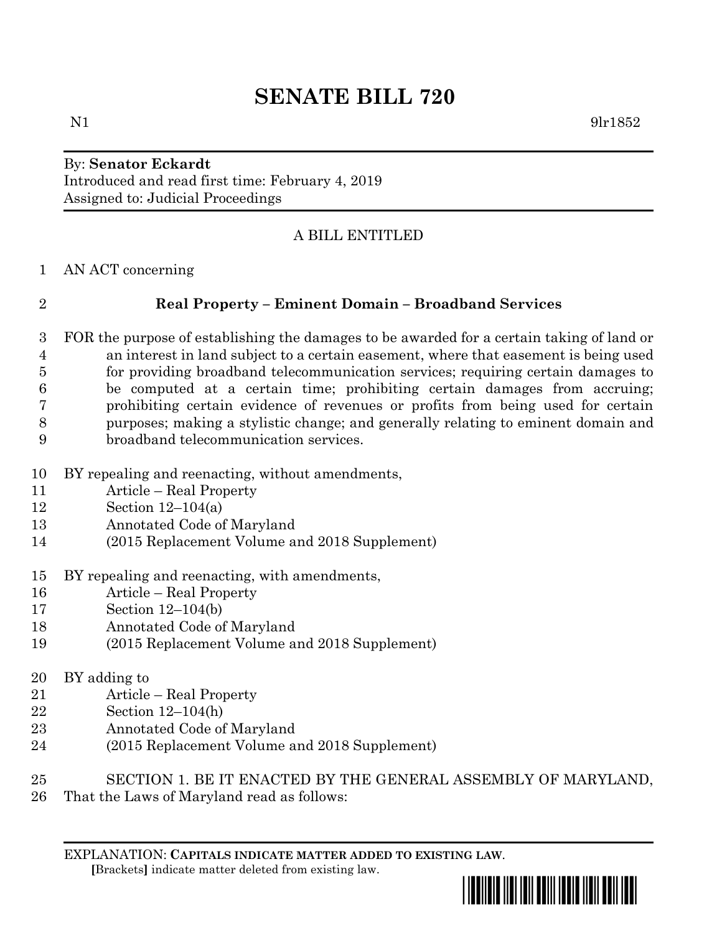# **SENATE BILL 720**

### By: **Senator Eckardt** Introduced and read first time: February 4, 2019 Assigned to: Judicial Proceedings

### A BILL ENTITLED

AN ACT concerning

### **Real Property – Eminent Domain – Broadband Services**

- FOR the purpose of establishing the damages to be awarded for a certain taking of land or an interest in land subject to a certain easement, where that easement is being used for providing broadband telecommunication services; requiring certain damages to be computed at a certain time; prohibiting certain damages from accruing; prohibiting certain evidence of revenues or profits from being used for certain purposes; making a stylistic change; and generally relating to eminent domain and broadband telecommunication services.
- BY repealing and reenacting, without amendments,
- Article Real Property
- Section 12–104(a)
- Annotated Code of Maryland
- (2015 Replacement Volume and 2018 Supplement)
- BY repealing and reenacting, with amendments,
- Article Real Property
- Section 12–104(b)
- Annotated Code of Maryland
- (2015 Replacement Volume and 2018 Supplement)

## BY adding to

- Article Real Property
- Section 12–104(h)
- Annotated Code of Maryland
- (2015 Replacement Volume and 2018 Supplement)
- SECTION 1. BE IT ENACTED BY THE GENERAL ASSEMBLY OF MARYLAND,
- That the Laws of Maryland read as follows: